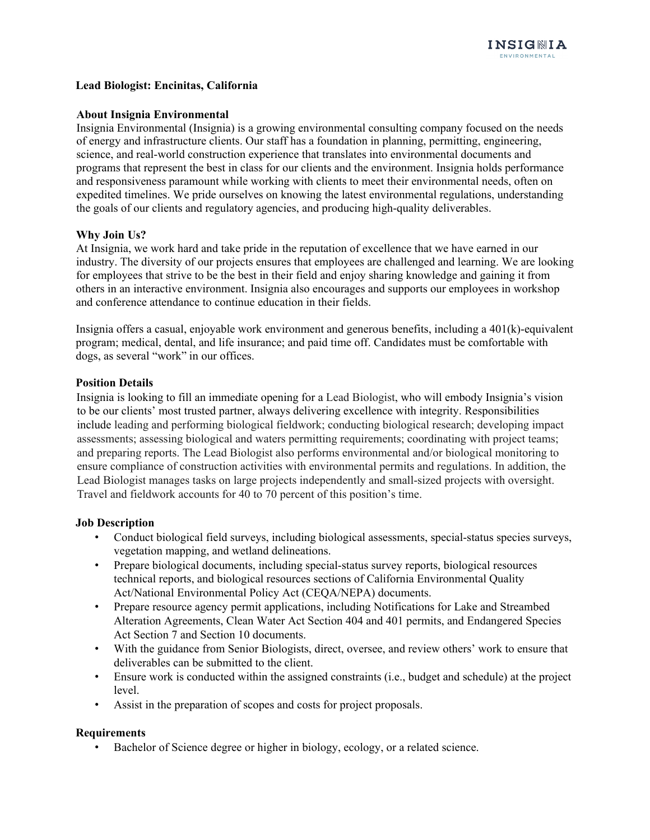# **Lead Biologist: Encinitas, California**

## **About Insignia Environmental**

Insignia Environmental (Insignia) is a growing environmental consulting company focused on the needs of energy and infrastructure clients. Our staff has a foundation in planning, permitting, engineering, science, and real-world construction experience that translates into environmental documents and programs that represent the best in class for our clients and the environment. Insignia holds performance and responsiveness paramount while working with clients to meet their environmental needs, often on expedited timelines. We pride ourselves on knowing the latest environmental regulations, understanding the goals of our clients and regulatory agencies, and producing high-quality deliverables.

## **Why Join Us?**

At Insignia, we work hard and take pride in the reputation of excellence that we have earned in our industry. The diversity of our projects ensures that employees are challenged and learning. We are looking for employees that strive to be the best in their field and enjoy sharing knowledge and gaining it from others in an interactive environment. Insignia also encourages and supports our employees in workshop and conference attendance to continue education in their fields.

Insignia offers a casual, enjoyable work environment and generous benefits, including a 401(k)-equivalent program; medical, dental, and life insurance; and paid time off. Candidates must be comfortable with dogs, as several "work" in our offices.

## **Position Details**

Insignia is looking to fill an immediate opening for a Lead Biologist, who will embody Insignia's vision to be our clients' most trusted partner, always delivering excellence with integrity. Responsibilities include leading and performing biological fieldwork; conducting biological research; developing impact assessments; assessing biological and waters permitting requirements; coordinating with project teams; and preparing reports. The Lead Biologist also performs environmental and/or biological monitoring to ensure compliance of construction activities with environmental permits and regulations. In addition, the Lead Biologist manages tasks on large projects independently and small-sized projects with oversight. Travel and fieldwork accounts for 40 to 70 percent of this position's time.

## **Job Description**

- Conduct biological field surveys, including biological assessments, special-status species surveys, vegetation mapping, and wetland delineations.
- Prepare biological documents, including special-status survey reports, biological resources technical reports, and biological resources sections of California Environmental Quality Act/National Environmental Policy Act (CEQA/NEPA) documents.
- Prepare resource agency permit applications, including Notifications for Lake and Streambed Alteration Agreements, Clean Water Act Section 404 and 401 permits, and Endangered Species Act Section 7 and Section 10 documents.
- With the guidance from Senior Biologists, direct, oversee, and review others' work to ensure that deliverables can be submitted to the client.
- Ensure work is conducted within the assigned constraints (i.e., budget and schedule) at the project level.
- Assist in the preparation of scopes and costs for project proposals.

## **Requirements**

Bachelor of Science degree or higher in biology, ecology, or a related science.